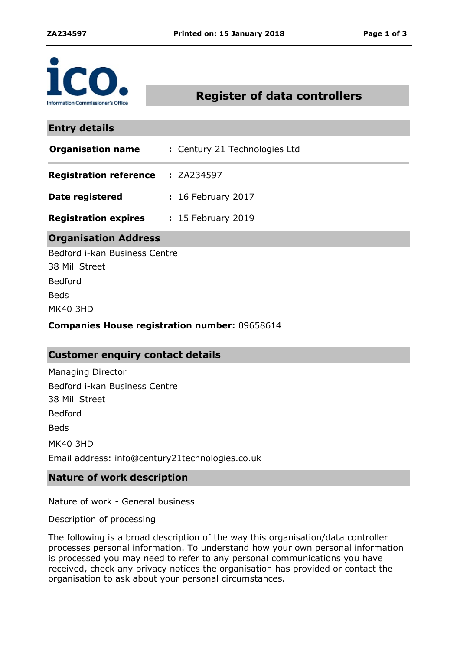

# **Register of data controllers**

## **Entry details**

| <b>Organisation name</b> | : Century 21 Technologies Ltd |
|--------------------------|-------------------------------|
|                          |                               |

- **Registration reference : ZA234597**
- **Date registered :** 16 February 2017
- **Registration expires** 15 February 2019 **:**

# **Organisation Address**

Bedford i-kan Business Centre 38 Mill Street MK40 3HD Bedford Beds

### **Companies House registration number:** 09658614

# **Customer enquiry contact details**

Managing Director Bedford i-kan Business Centre 38 Mill Street Bedford Beds MK40 3HD Email address: info@century21technologies.co.uk

## **Nature of work description**

Nature of work - General business

Description of processing

The following is a broad description of the way this organisation/data controller processes personal information. To understand how your own personal information is processed you may need to refer to any personal communications you have received, check any privacy notices the organisation has provided or contact the organisation to ask about your personal circumstances.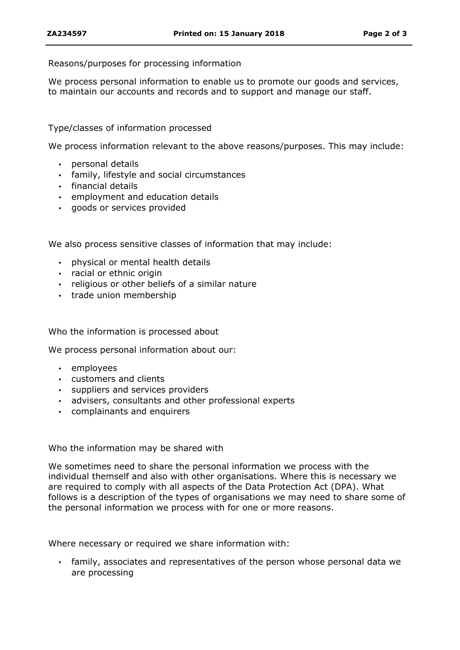### Reasons/purposes for processing information

We process personal information to enable us to promote our goods and services, to maintain our accounts and records and to support and manage our staff.

## Type/classes of information processed

We process information relevant to the above reasons/purposes. This may include:

- personal details
- family, lifestyle and social circumstances
- $\cdot$  financial details
- employment and education details
- goods or services provided

We also process sensitive classes of information that may include:

- physical or mental health details
- racial or ethnic origin
- religious or other beliefs of a similar nature
- trade union membership

#### Who the information is processed about

We process personal information about our:

- employees
- customers and clients
- suppliers and services providers
- advisers, consultants and other professional experts
- complainants and enquirers

#### Who the information may be shared with

We sometimes need to share the personal information we process with the individual themself and also with other organisations. Where this is necessary we are required to comply with all aspects of the Data Protection Act (DPA). What follows is a description of the types of organisations we may need to share some of the personal information we process with for one or more reasons.

Where necessary or required we share information with:

 family, associates and representatives of the person whose personal data we are processing